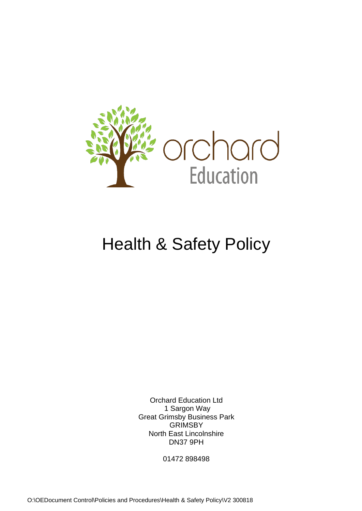

# Health & Safety Policy

Orchard Education Ltd 1 Sargon Way Great Grimsby Business Park **GRIMSBY** North East Lincolnshire DN37 9PH

01472 898498

O:\OEDocument Control\Policies and Procedures\Health & Safety Policy\V2 300818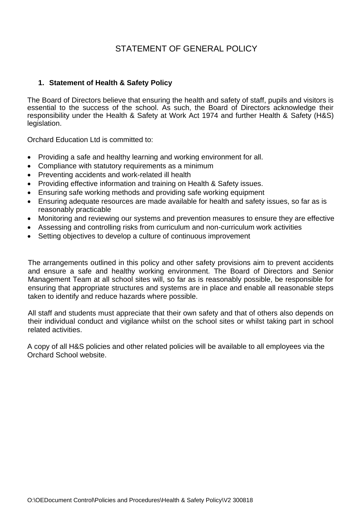# STATEMENT OF GENERAL POLICY

# **1. Statement of Health & Safety Policy**

The Board of Directors believe that ensuring the health and safety of staff, pupils and visitors is essential to the success of the school. As such, the Board of Directors acknowledge their responsibility under the Health & Safety at Work Act 1974 and further Health & Safety (H&S) legislation.

Orchard Education Ltd is committed to:

- Providing a safe and healthy learning and working environment for all.
- Compliance with statutory requirements as a minimum
- Preventing accidents and work-related ill health
- Providing effective information and training on Health & Safety issues.
- Ensuring safe working methods and providing safe working equipment
- Ensuring adequate resources are made available for health and safety issues, so far as is reasonably practicable
- Monitoring and reviewing our systems and prevention measures to ensure they are effective
- Assessing and controlling risks from curriculum and non-curriculum work activities
- Setting objectives to develop a culture of continuous improvement

The arrangements outlined in this policy and other safety provisions aim to prevent accidents and ensure a safe and healthy working environment. The Board of Directors and Senior Management Team at all school sites will, so far as is reasonably possible, be responsible for ensuring that appropriate structures and systems are in place and enable all reasonable steps taken to identify and reduce hazards where possible.

All staff and students must appreciate that their own safety and that of others also depends on their individual conduct and vigilance whilst on the school sites or whilst taking part in school related activities.

A copy of all H&S policies and other related policies will be available to all employees via the Orchard School website.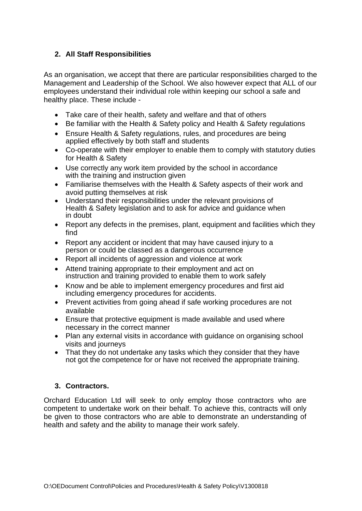# **2. All Staff Responsibilities**

As an organisation, we accept that there are particular responsibilities charged to the Management and Leadership of the School. We also however expect that ALL of our employees understand their individual role within keeping our school a safe and healthy place. These include -

- Take care of their health, safety and welfare and that of others
- Be familiar with the Health & Safety policy and Health & Safety regulations
- Ensure Health & Safety regulations, rules, and procedures are being applied effectively by both staff and students
- Co-operate with their employer to enable them to comply with statutory duties for Health & Safety
- Use correctly any work item provided by the school in accordance with the training and instruction given
- Familiarise themselves with the Health & Safety aspects of their work and avoid putting themselves at risk
- Understand their responsibilities under the relevant provisions of Health & Safety legislation and to ask for advice and guidance when in doubt
- Report any defects in the premises, plant, equipment and facilities which they find
- Report any accident or incident that may have caused injury to a person or could be classed as a dangerous occurrence
- Report all incidents of aggression and violence at work
- Attend training appropriate to their employment and act on instruction and training provided to enable them to work safely
- Know and be able to implement emergency procedures and first aid including emergency procedures for accidents.
- Prevent activities from going ahead if safe working procedures are not available
- Ensure that protective equipment is made available and used where necessary in the correct manner
- Plan any external visits in accordance with quidance on organising school visits and journeys
- That they do not undertake any tasks which they consider that they have not got the competence for or have not received the appropriate training.

# **3. Contractors.**

Orchard Education Ltd will seek to only employ those contractors who are competent to undertake work on their behalf. To achieve this, contracts will only be given to those contractors who are able to demonstrate an understanding of health and safety and the ability to manage their work safely.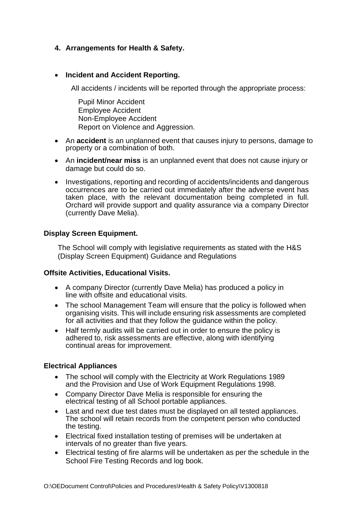# **4. Arrangements for Health & Safety.**

# • **Incident and Accident Reporting.**

All accidents / incidents will be reported through the appropriate process:

 Pupil Minor Accident Employee Accident Non-Employee Accident Report on Violence and Aggression.

- An **accident** is an unplanned event that causes injury to persons, damage to property or a combination of both.
- An **incident/near miss** is an unplanned event that does not cause injury or damage but could do so.
- Investigations, reporting and recording of accidents/incidents and dangerous occurrences are to be carried out immediately after the adverse event has taken place, with the relevant documentation being completed in full. Orchard will provide support and quality assurance via a company Director (currently Dave Melia).

#### **Display Screen Equipment.**

The School will comply with legislative requirements as stated with the H&S (Display Screen Equipment) Guidance and Regulations

#### **Offsite Activities, Educational Visits.**

- A company Director (currently Dave Melia) has produced a policy in line with offsite and educational visits.
- The school Management Team will ensure that the policy is followed when organising visits. This will include ensuring risk assessments are completed for all activities and that they follow the guidance within the policy.
- Half termly audits will be carried out in order to ensure the policy is adhered to, risk assessments are effective, along with identifying continual areas for improvement.

#### **Electrical Appliances**

- The school will comply with the Electricity at Work Regulations 1989 and the Provision and Use of Work Equipment Regulations 1998.
- Company Director Dave Melia is responsible for ensuring the electrical testing of all School portable appliances.
- Last and next due test dates must be displayed on all tested appliances. The school will retain records from the competent person who conducted the testing.
- Electrical fixed installation testing of premises will be undertaken at intervals of no greater than five years.
- Electrical testing of fire alarms will be undertaken as per the schedule in the School Fire Testing Records and log book.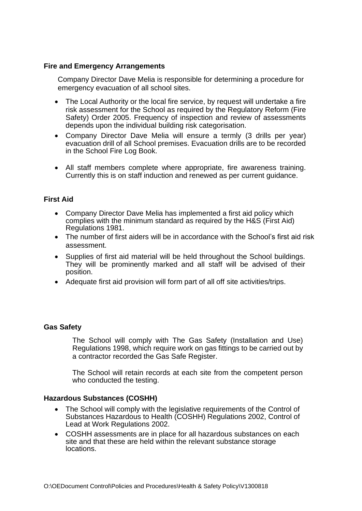# **Fire and Emergency Arrangements**

Company Director Dave Melia is responsible for determining a procedure for emergency evacuation of all school sites.

- The Local Authority or the local fire service, by request will undertake a fire risk assessment for the School as required by the Regulatory Reform (Fire Safety) Order 2005. Frequency of inspection and review of assessments depends upon the individual building risk categorisation.
- Company Director Dave Melia will ensure a termly (3 drills per year) evacuation drill of all School premises. Evacuation drills are to be recorded in the School Fire Log Book.
- All staff members complete where appropriate, fire awareness training. Currently this is on staff induction and renewed as per current guidance.

# **First Aid**

- Company Director Dave Melia has implemented a first aid policy which complies with the minimum standard as required by the H&S (First Aid) Regulations 1981.
- The number of first aiders will be in accordance with the School's first aid risk assessment.
- Supplies of first aid material will be held throughout the School buildings. They will be prominently marked and all staff will be advised of their position.
- Adequate first aid provision will form part of all off site activities/trips.

# **Gas Safety**

The School will comply with [The Gas Safety \(Installation and Use\)](http://www.legislation.gov.uk/uksi/1998/2451/regulation/4/made)  [Regulations 1998, w](http://www.legislation.gov.uk/uksi/1998/2451/regulation/4/made)hich require work on gas fittings to be carried out by a contractor recorded the Gas Safe Register.

The School will retain records at each site from the competent person who conducted the testing.

# **Hazardous Substances (COSHH)**

- The School will comply with the legislative requirements of the Control of Substances Hazardous to Health (COSHH) Regulations 2002, Control of Lead at Work Regulations 2002.
- COSHH assessments are in place for all hazardous substances on each site and that these are held within the relevant substance storage locations.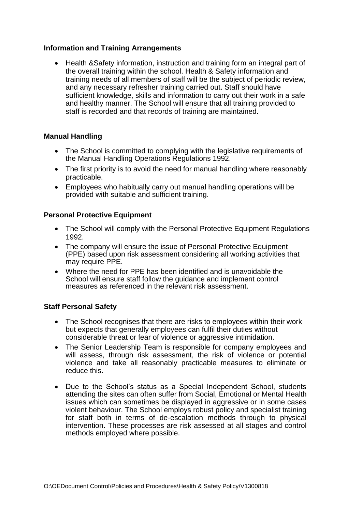# **Information and Training Arrangements**

• Health &Safety information, instruction and training form an integral part of the overall training within the school. Health & Safety information and training needs of all members of staff will be the subject of periodic review, and any necessary refresher training carried out. Staff should have sufficient knowledge, skills and information to carry out their work in a safe and healthy manner. The School will ensure that all training provided to staff is recorded and that records of training are maintained.

# **Manual Handling**

- The School is committed to complying with the legislative requirements of the Manual Handling Operations Regulations 1992.
- The first priority is to avoid the need for manual handling where reasonably practicable.
- Employees who habitually carry out manual handling operations will be provided with suitable and sufficient training.

# **Personal Protective Equipment**

- The School will comply with the Personal Protective Equipment Regulations 1992.
- The company will ensure the issue of Personal Protective Equipment (PPE) based upon risk assessment considering all working activities that may require PPE.
- Where the need for PPE has been identified and is unavoidable the School will ensure staff follow the guidance and implement control measures as referenced in the relevant risk assessment.

# **Staff Personal Safety**

- The School recognises that there are risks to employees within their work but expects that generally employees can fulfil their duties without considerable threat or fear of violence or aggressive intimidation.
- The Senior Leadership Team is responsible for company employees and will assess, through risk assessment, the risk of violence or potential violence and take all reasonably practicable measures to eliminate or reduce this.
- Due to the School's status as a Special Independent School, students attending the sites can often suffer from Social, Emotional or Mental Health issues which can sometimes be displayed in aggressive or in some cases violent behaviour. The School employs robust policy and specialist training for staff both in terms of de-escalation methods through to physical intervention. These processes are risk assessed at all stages and control methods employed where possible.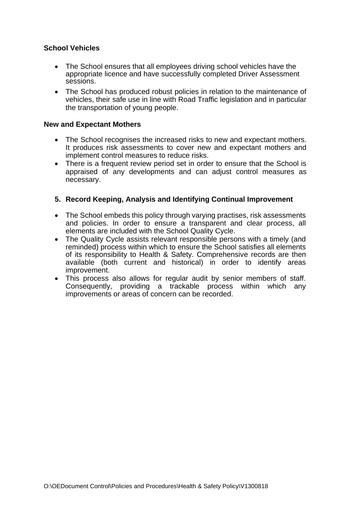# **School Vehicles**

- The School ensures that all employees driving school vehicles have the appropriate licence and have successfully completed Driver Assessment sessions.
- The School has produced robust policies in relation to the maintenance of vehicles, their safe use in line with Road Traffic legislation and in particular the transportation of young people.

#### **New and Expectant Mothers**

- The School recognises the increased risks to new and expectant mothers. It produces risk assessments to cover new and expectant mothers and implement control measures to reduce risks.
- There is a frequent review period set in order to ensure that the School is appraised of any developments and can adjust control measures as necessary.

# **5. Record Keeping, Analysis and Identifying Continual Improvement**

- The School embeds this policy through varying practises, risk assessments and policies. In order to ensure a transparent and clear process, all elements are included with the School Quality Cycle.
- The Quality Cycle assists relevant responsible persons with a timely (and reminded) process within which to ensure the School satisfies all elements of its responsibility to Health & Safety. Comprehensive records are then available (both current and historical) in order to identify areas improvement.
- This process also allows for regular audit by senior members of staff. Consequently, providing a trackable process within which any improvements or areas of concern can be recorded.